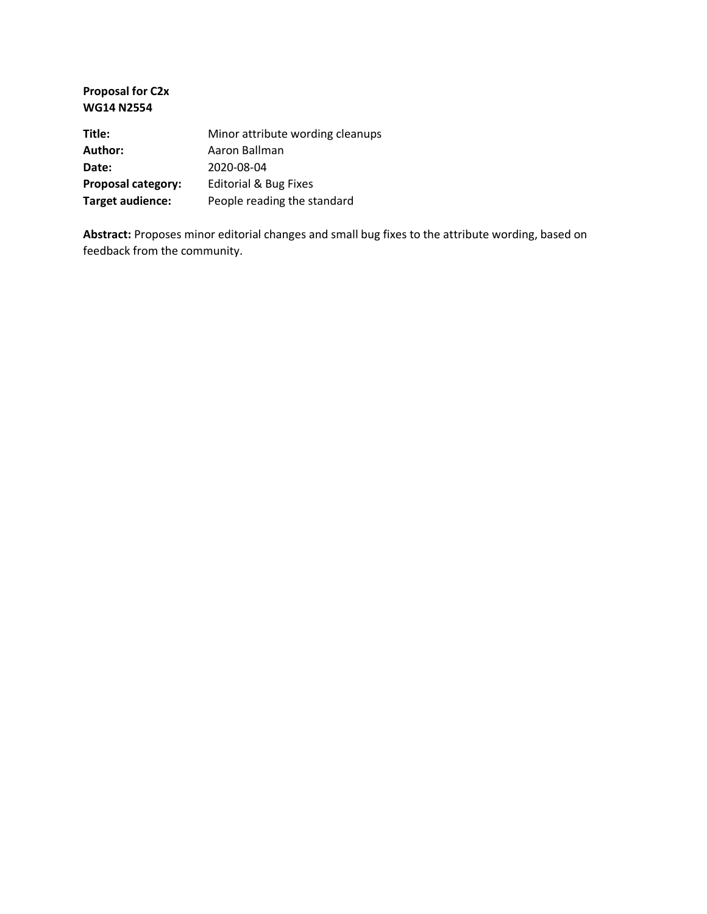| Minor attribute wording cleanups |
|----------------------------------|
| Aaron Ballman                    |
| 2020-08-04                       |
| Editorial & Bug Fixes            |
| People reading the standard      |
|                                  |

**Abstract:** Proposes minor editorial changes and small bug fixes to the attribute wording, based on feedback from the community.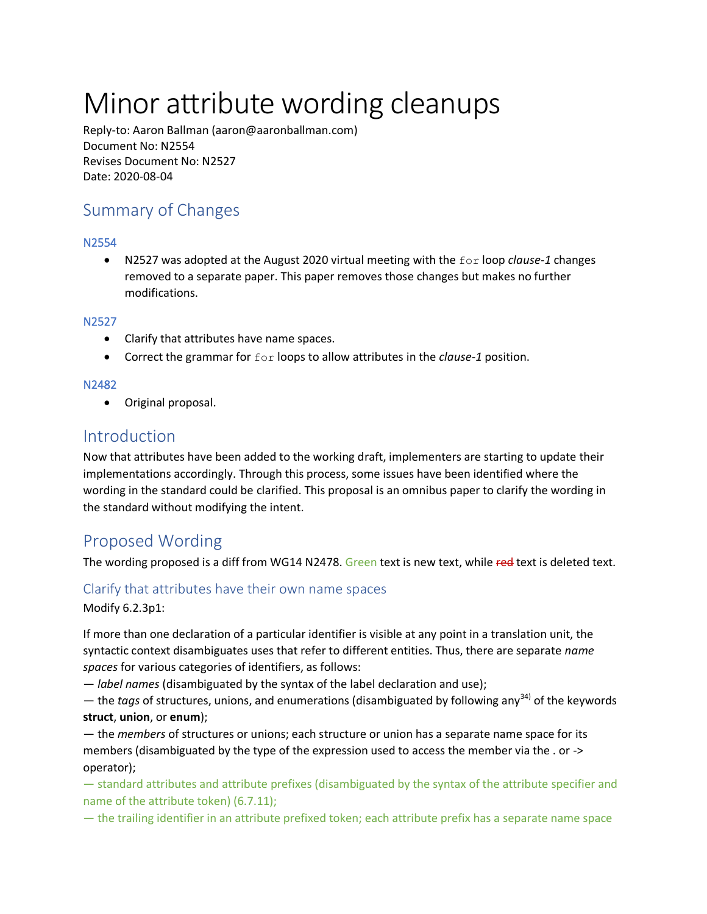# Minor attribute wording cleanups

Reply-to: Aaron Ballman (aaron@aaronballman.com) Document No: N2554 Revises Document No: N2527 Date: 2020-08-04

## Summary of Changes

#### N2554

 N2527 was adopted at the August 2020 virtual meeting with the for loop *clause-1* changes removed to a separate paper. This paper removes those changes but makes no further modifications.

#### N2527

- Clarify that attributes have name spaces.
- Correct the grammar for for loops to allow attributes in the *clause-1* position.

#### N2482

Original proposal.

### Introduction

Now that attributes have been added to the working draft, implementers are starting to update their implementations accordingly. Through this process, some issues have been identified where the wording in the standard could be clarified. This proposal is an omnibus paper to clarify the wording in the standard without modifying the intent.

## Proposed Wording

The wording proposed is a diff from WG14 N2478. Green text is new text, while red text is deleted text.

#### Clarify that attributes have their own name spaces

Modify 6.2.3p1:

If more than one declaration of a particular identifier is visible at any point in a translation unit, the syntactic context disambiguates uses that refer to different entities. Thus, there are separate *name spaces* for various categories of identifiers, as follows:

— *label names* (disambiguated by the syntax of the label declaration and use);

 $-$  the *tags* of structures, unions, and enumerations (disambiguated by following any<sup>34)</sup> of the keywords **struct**, **union**, or **enum**);

— the *members* of structures or unions; each structure or union has a separate name space for its members (disambiguated by the type of the expression used to access the member via the . or -> operator);

— standard attributes and attribute prefixes (disambiguated by the syntax of the attribute specifier and name of the attribute token) (6.7.11);

— the trailing identifier in an attribute prefixed token; each attribute prefix has a separate name space